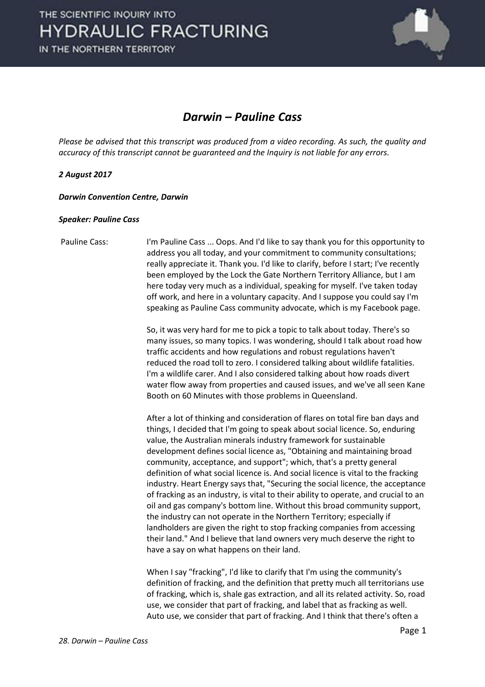

### *Darwin – Pauline Cass*

*Please be advised that this transcript was produced from a video recording. As such, the quality and accuracy of this transcript cannot be guaranteed and the Inquiry is not liable for any errors.*

#### *2 August 2017*

*Darwin Convention Centre, Darwin* 

#### *Speaker: Pauline Cass*

 Pauline Cass: I'm Pauline Cass ... Oops. And I'd like to say thank you for this opportunity to address you all today, and your commitment to community consultations; really appreciate it. Thank you. I'd like to clarify, before I start; I've recently been employed by the Lock the Gate Northern Territory Alliance, but I am here today very much as a individual, speaking for myself. I've taken today off work, and here in a voluntary capacity. And I suppose you could say I'm speaking as Pauline Cass community advocate, which is my Facebook page.

> So, it was very hard for me to pick a topic to talk about today. There's so many issues, so many topics. I was wondering, should I talk about road how traffic accidents and how regulations and robust regulations haven't reduced the road toll to zero. I considered talking about wildlife fatalities. I'm a wildlife carer. And I also considered talking about how roads divert water flow away from properties and caused issues, and we've all seen Kane Booth on 60 Minutes with those problems in Queensland.

> After a lot of thinking and consideration of flares on total fire ban days and things, I decided that I'm going to speak about social licence. So, enduring value, the Australian minerals industry framework for sustainable development defines social licence as, "Obtaining and maintaining broad community, acceptance, and support"; which, that's a pretty general definition of what social licence is. And social licence is vital to the fracking industry. Heart Energy says that, "Securing the social licence, the acceptance of fracking as an industry, is vital to their ability to operate, and crucial to an oil and gas company's bottom line. Without this broad community support, the industry can not operate in the Northern Territory; especially if landholders are given the right to stop fracking companies from accessing their land." And I believe that land owners very much deserve the right to have a say on what happens on their land.

> When I say "fracking", I'd like to clarify that I'm using the community's definition of fracking, and the definition that pretty much all territorians use of fracking, which is, shale gas extraction, and all its related activity. So, road use, we consider that part of fracking, and label that as fracking as well. Auto use, we consider that part of fracking. And I think that there's often a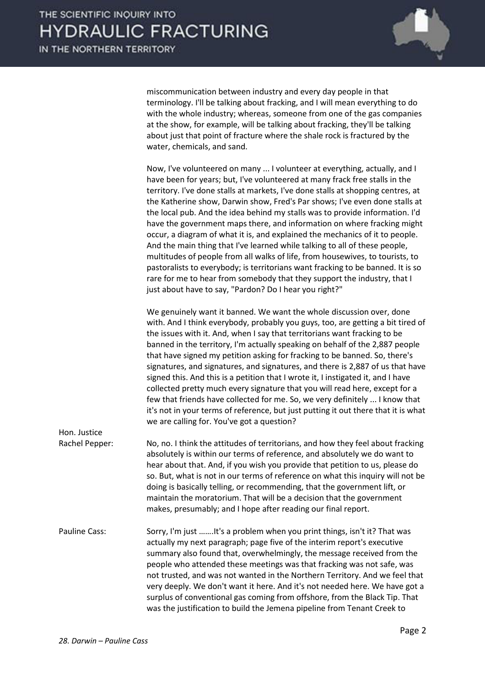

miscommunication between industry and every day people in that terminology. I'll be talking about fracking, and I will mean everything to do with the whole industry; whereas, someone from one of the gas companies at the show, for example, will be talking about fracking, they'll be talking about just that point of fracture where the shale rock is fractured by the water, chemicals, and sand.

 Now, I've volunteered on many ... I volunteer at everything, actually, and I have been for years; but, I've volunteered at many frack free stalls in the territory. I've done stalls at markets, I've done stalls at shopping centres, at the Katherine show, Darwin show, Fred's Par shows; I've even done stalls at the local pub. And the idea behind my stalls was to provide information. I'd have the government maps there, and information on where fracking might occur, a diagram of what it is, and explained the mechanics of it to people. And the main thing that I've learned while talking to all of these people, multitudes of people from all walks of life, from housewives, to tourists, to pastoralists to everybody; is territorians want fracking to be banned. It is so rare for me to hear from somebody that they support the industry, that I just about have to say, "Pardon? Do I hear you right?"

 We genuinely want it banned. We want the whole discussion over, done with. And I think everybody, probably you guys, too, are getting a bit tired of the issues with it. And, when I say that territorians want fracking to be banned in the territory, I'm actually speaking on behalf of the 2,887 people that have signed my petition asking for fracking to be banned. So, there's signatures, and signatures, and signatures, and there is 2,887 of us that have signed this. And this is a petition that I wrote it, I instigated it, and I have collected pretty much every signature that you will read here, except for a few that friends have collected for me. So, we very definitely ... I know that it's not in your terms of reference, but just putting it out there that it is what we are calling for. You've got a question?

| 11011.JUJUUL   |                                                                                                                                                                                                                                                                                                                                                                                                                                                                                                                                                       |
|----------------|-------------------------------------------------------------------------------------------------------------------------------------------------------------------------------------------------------------------------------------------------------------------------------------------------------------------------------------------------------------------------------------------------------------------------------------------------------------------------------------------------------------------------------------------------------|
| Rachel Pepper: | No, no. I think the attitudes of territorians, and how they feel about fracking<br>absolutely is within our terms of reference, and absolutely we do want to<br>hear about that. And, if you wish you provide that petition to us, please do<br>so. But, what is not in our terms of reference on what this inquiry will not be<br>doing is basically telling, or recommending, that the government lift, or<br>maintain the moratorium. That will be a decision that the government<br>makes, presumably; and I hope after reading our final report. |
| Pauline Cass:  | Sorry I'm just It's a problem when you print things isn't it? That was                                                                                                                                                                                                                                                                                                                                                                                                                                                                                |

Pauline Cass: Sorry, I'm just …….It's a problem when you print things, isn't it? That was actually my next paragraph; page five of the interim report's executive summary also found that, overwhelmingly, the message received from the people who attended these meetings was that fracking was not safe, was not trusted, and was not wanted in the Northern Territory. And we feel that very deeply. We don't want it here. And it's not needed here. We have got a surplus of conventional gas coming from offshore, from the Black Tip. That was the justification to build the Jemena pipeline from Tenant Creek to

Hon. Justice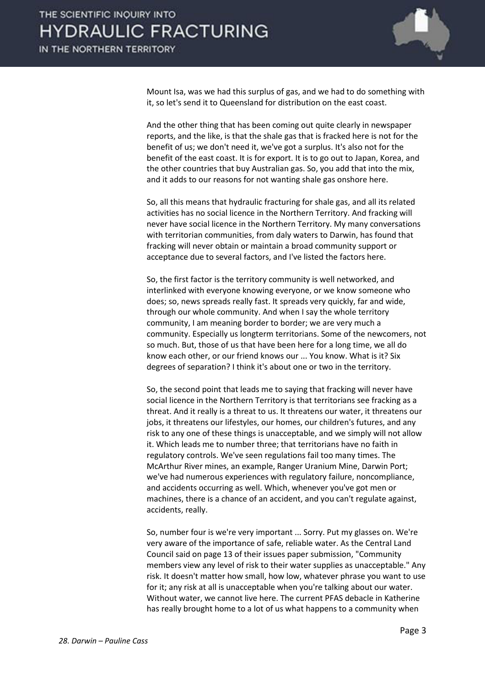

Mount Isa, was we had this surplus of gas, and we had to do something with it, so let's send it to Queensland for distribution on the east coast.

And the other thing that has been coming out quite clearly in newspaper reports, and the like, is that the shale gas that is fracked here is not for the benefit of us; we don't need it, we've got a surplus. It's also not for the benefit of the east coast. It is for export. It is to go out to Japan, Korea, and the other countries that buy Australian gas. So, you add that into the mix, and it adds to our reasons for not wanting shale gas onshore here.

 So, all this means that hydraulic fracturing for shale gas, and all its related activities has no social licence in the Northern Territory. And fracking will never have social licence in the Northern Territory. My many conversations with territorian communities, from daly waters to Darwin, has found that fracking will never obtain or maintain a broad community support or acceptance due to several factors, and I've listed the factors here.

 So, the first factor is the territory community is well networked, and interlinked with everyone knowing everyone, or we know someone who does; so, news spreads really fast. It spreads very quickly, far and wide, through our whole community. And when I say the whole territory community, I am meaning border to border; we are very much a community. Especially us longterm territorians. Some of the newcomers, not so much. But, those of us that have been here for a long time, we all do know each other, or our friend knows our ... You know. What is it? Six degrees of separation? I think it's about one or two in the territory.

 So, the second point that leads me to saying that fracking will never have social licence in the Northern Territory is that territorians see fracking as a threat. And it really is a threat to us. It threatens our water, it threatens our jobs, it threatens our lifestyles, our homes, our children's futures, and any risk to any one of these things is unacceptable, and we simply will not allow it. Which leads me to number three; that territorians have no faith in regulatory controls. We've seen regulations fail too many times. The McArthur River mines, an example, Ranger Uranium Mine, Darwin Port; we've had numerous experiences with regulatory failure, noncompliance, and accidents occurring as well. Which, whenever you've got men or machines, there is a chance of an accident, and you can't regulate against, accidents, really.

 So, number four is we're very important ... Sorry. Put my glasses on. We're very aware of the importance of safe, reliable water. As the Central Land Council said on page 13 of their issues paper submission, "Community members view any level of risk to their water supplies as unacceptable." Any risk. It doesn't matter how small, how low, whatever phrase you want to use for it; any risk at all is unacceptable when you're talking about our water. Without water, we cannot live here. The current PFAS debacle in Katherine has really brought home to a lot of us what happens to a community when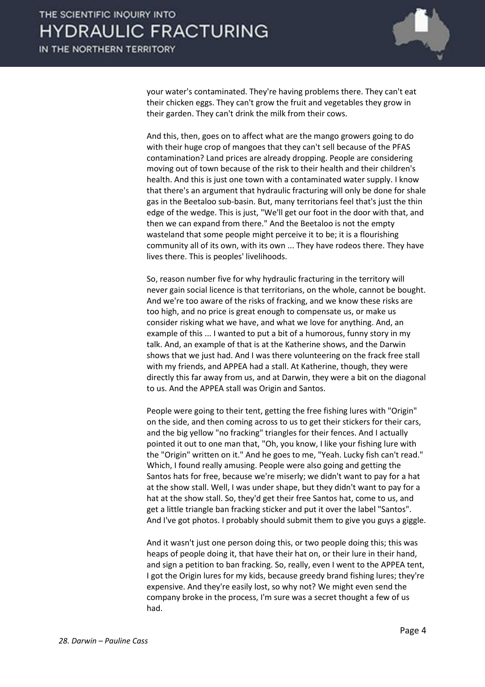

your water's contaminated. They're having problems there. They can't eat their chicken eggs. They can't grow the fruit and vegetables they grow in their garden. They can't drink the milk from their cows.

 And this, then, goes on to affect what are the mango growers going to do with their huge crop of mangoes that they can't sell because of the PFAS contamination? Land prices are already dropping. People are considering moving out of town because of the risk to their health and their children's health. And this is just one town with a contaminated water supply. I know that there's an argument that hydraulic fracturing will only be done for shale gas in the Beetaloo sub-basin. But, many territorians feel that's just the thin edge of the wedge. This is just, "We'll get our foot in the door with that, and then we can expand from there." And the Beetaloo is not the empty wasteland that some people might perceive it to be; it is a flourishing community all of its own, with its own ... They have rodeos there. They have lives there. This is peoples' livelihoods.

 So, reason number five for why hydraulic fracturing in the territory will never gain social licence is that territorians, on the whole, cannot be bought. And we're too aware of the risks of fracking, and we know these risks are too high, and no price is great enough to compensate us, or make us consider risking what we have, and what we love for anything. And, an example of this ... I wanted to put a bit of a humorous, funny story in my talk. And, an example of that is at the Katherine shows, and the Darwin shows that we just had. And I was there volunteering on the frack free stall with my friends, and APPEA had a stall. At Katherine, though, they were directly this far away from us, and at Darwin, they were a bit on the diagonal to us. And the APPEA stall was Origin and Santos.

 People were going to their tent, getting the free fishing lures with "Origin" on the side, and then coming across to us to get their stickers for their cars, and the big yellow "no fracking" triangles for their fences. And I actually pointed it out to one man that, "Oh, you know, I like your fishing lure with the "Origin" written on it." And he goes to me, "Yeah. Lucky fish can't read." Which, I found really amusing. People were also going and getting the Santos hats for free, because we're miserly; we didn't want to pay for a hat at the show stall. Well, I was under shape, but they didn't want to pay for a hat at the show stall. So, they'd get their free Santos hat, come to us, and get a little triangle ban fracking sticker and put it over the label "Santos". And I've got photos. I probably should submit them to give you guys a giggle.

 And it wasn't just one person doing this, or two people doing this; this was heaps of people doing it, that have their hat on, or their lure in their hand, and sign a petition to ban fracking. So, really, even I went to the APPEA tent, I got the Origin lures for my kids, because greedy brand fishing lures; they're expensive. And they're easily lost, so why not? We might even send the company broke in the process, I'm sure was a secret thought a few of us had.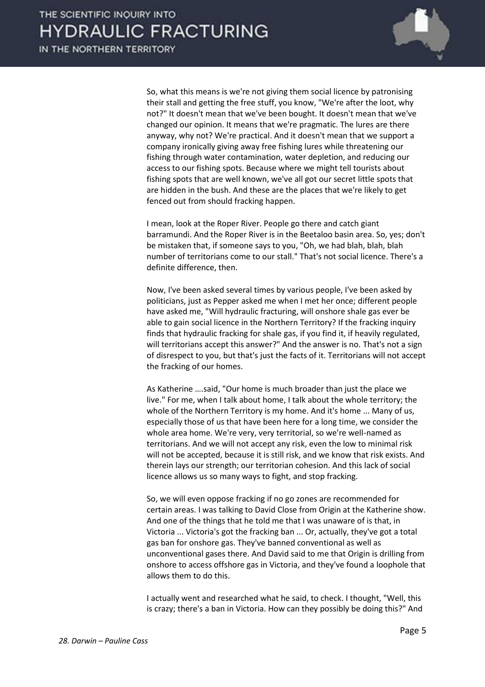

 So, what this means is we're not giving them social licence by patronising their stall and getting the free stuff, you know, "We're after the loot, why not?" It doesn't mean that we've been bought. It doesn't mean that we've changed our opinion. It means that we're pragmatic. The lures are there anyway, why not? We're practical. And it doesn't mean that we support a company ironically giving away free fishing lures while threatening our fishing through water contamination, water depletion, and reducing our access to our fishing spots. Because where we might tell tourists about fishing spots that are well known, we've all got our secret little spots that are hidden in the bush. And these are the places that we're likely to get fenced out from should fracking happen.

 I mean, look at the Roper River. People go there and catch giant barramundi. And the Roper River is in the Beetaloo basin area. So, yes; don't be mistaken that, if someone says to you, "Oh, we had blah, blah, blah number of territorians come to our stall." That's not social licence. There's a definite difference, then.

 Now, I've been asked several times by various people, I've been asked by politicians, just as Pepper asked me when I met her once; different people have asked me, "Will hydraulic fracturing, will onshore shale gas ever be able to gain social licence in the Northern Territory? If the fracking inquiry finds that hydraulic fracking for shale gas, if you find it, if heavily regulated, will territorians accept this answer?" And the answer is no. That's not a sign of disrespect to you, but that's just the facts of it. Territorians will not accept the fracking of our homes.

As Katherine ….said, "Our home is much broader than just the place we live." For me, when I talk about home, I talk about the whole territory; the whole of the Northern Territory is my home. And it's home ... Many of us, especially those of us that have been here for a long time, we consider the whole area home. We're very, very territorial, so we're well-named as territorians. And we will not accept any risk, even the low to minimal risk will not be accepted, because it is still risk, and we know that risk exists. And therein lays our strength; our territorian cohesion. And this lack of social licence allows us so many ways to fight, and stop fracking.

 So, we will even oppose fracking if no go zones are recommended for certain areas. I was talking to David Close from Origin at the Katherine show. And one of the things that he told me that I was unaware of is that, in Victoria ... Victoria's got the fracking ban ... Or, actually, they've got a total gas ban for onshore gas. They've banned conventional as well as unconventional gases there. And David said to me that Origin is drilling from onshore to access offshore gas in Victoria, and they've found a loophole that allows them to do this.

 I actually went and researched what he said, to check. I thought, "Well, this is crazy; there's a ban in Victoria. How can they possibly be doing this?" And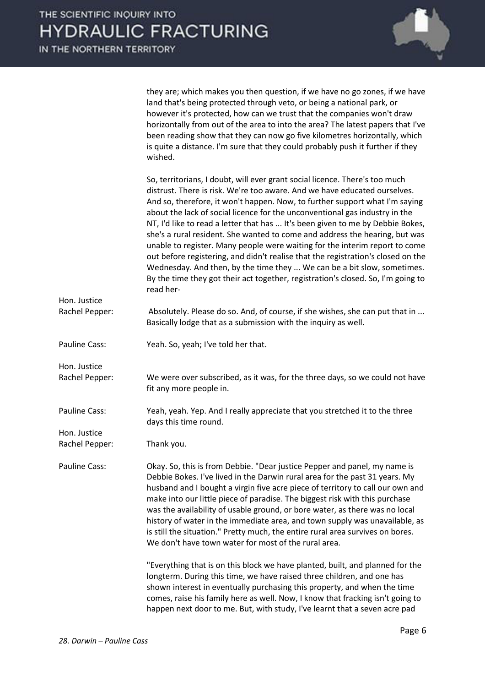

they are; which makes you then question, if we have no go zones, if we have land that's being protected through veto, or being a national park, or however it's protected, how can we trust that the companies won't draw horizontally from out of the area to into the area? The latest papers that I've been reading show that they can now go five kilometres horizontally, which is quite a distance. I'm sure that they could probably push it further if they wished.

|                | So, territorians, I doubt, will ever grant social licence. There's too much<br>distrust. There is risk. We're too aware. And we have educated ourselves.<br>And so, therefore, it won't happen. Now, to further support what I'm saying<br>about the lack of social licence for the unconventional gas industry in the<br>NT, I'd like to read a letter that has  It's been given to me by Debbie Bokes,<br>she's a rural resident. She wanted to come and address the hearing, but was<br>unable to register. Many people were waiting for the interim report to come<br>out before registering, and didn't realise that the registration's closed on the<br>Wednesday. And then, by the time they  We can be a bit slow, sometimes.<br>By the time they got their act together, registration's closed. So, I'm going to<br>read her- |
|----------------|----------------------------------------------------------------------------------------------------------------------------------------------------------------------------------------------------------------------------------------------------------------------------------------------------------------------------------------------------------------------------------------------------------------------------------------------------------------------------------------------------------------------------------------------------------------------------------------------------------------------------------------------------------------------------------------------------------------------------------------------------------------------------------------------------------------------------------------|
| Hon. Justice   |                                                                                                                                                                                                                                                                                                                                                                                                                                                                                                                                                                                                                                                                                                                                                                                                                                        |
| Rachel Pepper: | Absolutely. Please do so. And, of course, if she wishes, she can put that in<br>Basically lodge that as a submission with the inquiry as well.                                                                                                                                                                                                                                                                                                                                                                                                                                                                                                                                                                                                                                                                                         |
| Pauline Cass:  | Yeah. So, yeah; I've told her that.                                                                                                                                                                                                                                                                                                                                                                                                                                                                                                                                                                                                                                                                                                                                                                                                    |
| Hon. Justice   |                                                                                                                                                                                                                                                                                                                                                                                                                                                                                                                                                                                                                                                                                                                                                                                                                                        |
| Rachel Pepper: | We were over subscribed, as it was, for the three days, so we could not have<br>fit any more people in.                                                                                                                                                                                                                                                                                                                                                                                                                                                                                                                                                                                                                                                                                                                                |
| Pauline Cass:  | Yeah, yeah. Yep. And I really appreciate that you stretched it to the three<br>days this time round.                                                                                                                                                                                                                                                                                                                                                                                                                                                                                                                                                                                                                                                                                                                                   |
| Hon. Justice   |                                                                                                                                                                                                                                                                                                                                                                                                                                                                                                                                                                                                                                                                                                                                                                                                                                        |
| Rachel Pepper: | Thank you.                                                                                                                                                                                                                                                                                                                                                                                                                                                                                                                                                                                                                                                                                                                                                                                                                             |
| Pauline Cass:  | Okay. So, this is from Debbie. "Dear justice Pepper and panel, my name is<br>Debbie Bokes. I've lived in the Darwin rural area for the past 31 years. My<br>husband and I bought a virgin five acre piece of territory to call our own and<br>make into our little piece of paradise. The biggest risk with this purchase<br>was the availability of usable ground, or bore water, as there was no local<br>history of water in the immediate area, and town supply was unavailable, as<br>is still the situation." Pretty much, the entire rural area survives on bores.<br>We don't have town water for most of the rural area.                                                                                                                                                                                                      |
|                | "Everything that is on this block we have planted, built, and planned for the<br>longterm. During this time, we have raised three children, and one has<br>shown interest in eventually purchasing this property, and when the time<br>comes, raise his family here as well. Now, I know that fracking isn't going to                                                                                                                                                                                                                                                                                                                                                                                                                                                                                                                  |

happen next door to me. But, with study, I've learnt that a seven acre pad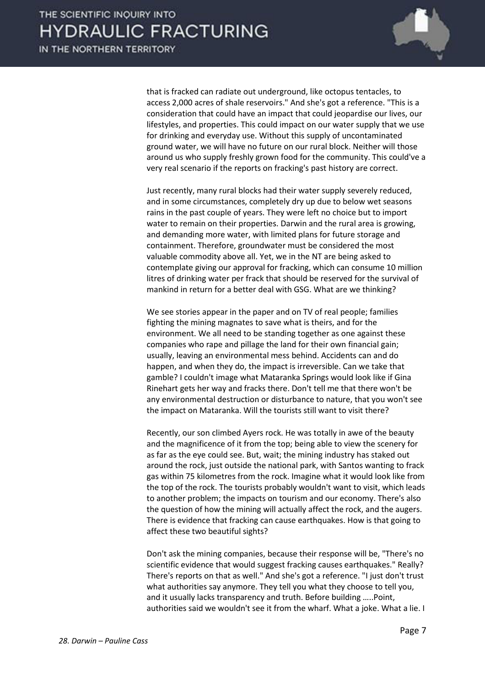

that is fracked can radiate out underground, like octopus tentacles, to access 2,000 acres of shale reservoirs." And she's got a reference. "This is a consideration that could have an impact that could jeopardise our lives, our lifestyles, and properties. This could impact on our water supply that we use for drinking and everyday use. Without this supply of uncontaminated ground water, we will have no future on our rural block. Neither will those around us who supply freshly grown food for the community. This could've a very real scenario if the reports on fracking's past history are correct.

 Just recently, many rural blocks had their water supply severely reduced, and in some circumstances, completely dry up due to below wet seasons rains in the past couple of years. They were left no choice but to import water to remain on their properties. Darwin and the rural area is growing, and demanding more water, with limited plans for future storage and containment. Therefore, groundwater must be considered the most valuable commodity above all. Yet, we in the NT are being asked to contemplate giving our approval for fracking, which can consume 10 million litres of drinking water per frack that should be reserved for the survival of mankind in return for a better deal with GSG. What are we thinking?

We see stories appear in the paper and on TV of real people; families fighting the mining magnates to save what is theirs, and for the environment. We all need to be standing together as one against these companies who rape and pillage the land for their own financial gain; usually, leaving an environmental mess behind. Accidents can and do happen, and when they do, the impact is irreversible. Can we take that gamble? I couldn't image what Mataranka Springs would look like if Gina Rinehart gets her way and fracks there. Don't tell me that there won't be any environmental destruction or disturbance to nature, that you won't see the impact on Mataranka. Will the tourists still want to visit there?

 Recently, our son climbed Ayers rock. He was totally in awe of the beauty and the magnificence of it from the top; being able to view the scenery for as far as the eye could see. But, wait; the mining industry has staked out around the rock, just outside the national park, with Santos wanting to frack gas within 75 kilometres from the rock. Imagine what it would look like from the top of the rock. The tourists probably wouldn't want to visit, which leads to another problem; the impacts on tourism and our economy. There's also the question of how the mining will actually affect the rock, and the augers. There is evidence that fracking can cause earthquakes. How is that going to affect these two beautiful sights?

 Don't ask the mining companies, because their response will be, "There's no scientific evidence that would suggest fracking causes earthquakes." Really? There's reports on that as well." And she's got a reference. "I just don't trust what authorities say anymore. They tell you what they choose to tell you, and it usually lacks transparency and truth. Before building …..Point, authorities said we wouldn't see it from the wharf. What a joke. What a lie. I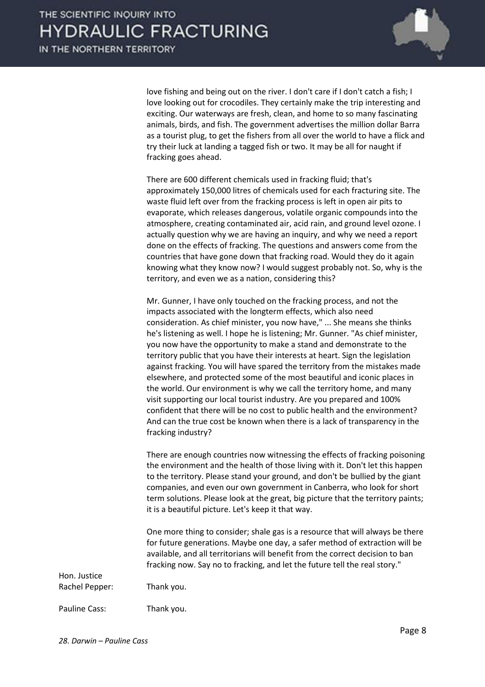

love fishing and being out on the river. I don't care if I don't catch a fish; I love looking out for crocodiles. They certainly make the trip interesting and exciting. Our waterways are fresh, clean, and home to so many fascinating animals, birds, and fish. The government advertises the million dollar Barra as a tourist plug, to get the fishers from all over the world to have a flick and try their luck at landing a tagged fish or two. It may be all for naught if fracking goes ahead.

 There are 600 different chemicals used in fracking fluid; that's approximately 150,000 litres of chemicals used for each fracturing site. The waste fluid left over from the fracking process is left in open air pits to evaporate, which releases dangerous, volatile organic compounds into the atmosphere, creating contaminated air, acid rain, and ground level ozone. I actually question why we are having an inquiry, and why we need a report done on the effects of fracking. The questions and answers come from the countries that have gone down that fracking road. Would they do it again knowing what they know now? I would suggest probably not. So, why is the territory, and even we as a nation, considering this?

 Mr. Gunner, I have only touched on the fracking process, and not the impacts associated with the longterm effects, which also need consideration. As chief minister, you now have," ... She means she thinks he's listening as well. I hope he is listening; Mr. Gunner. "As chief minister, you now have the opportunity to make a stand and demonstrate to the territory public that you have their interests at heart. Sign the legislation against fracking. You will have spared the territory from the mistakes made elsewhere, and protected some of the most beautiful and iconic places in the world. Our environment is why we call the territory home, and many visit supporting our local tourist industry. Are you prepared and 100% confident that there will be no cost to public health and the environment? And can the true cost be known when there is a lack of transparency in the fracking industry?

 There are enough countries now witnessing the effects of fracking poisoning the environment and the health of those living with it. Don't let this happen to the territory. Please stand your ground, and don't be bullied by the giant companies, and even our own government in Canberra, who look for short term solutions. Please look at the great, big picture that the territory paints; it is a beautiful picture. Let's keep it that way.

 One more thing to consider; shale gas is a resource that will always be there for future generations. Maybe one day, a safer method of extraction will be available, and all territorians will benefit from the correct decision to ban fracking now. Say no to fracking, and let the future tell the real story."

Rachel Pepper: Thank you.

Pauline Cass: Thank you.

Hon. Justice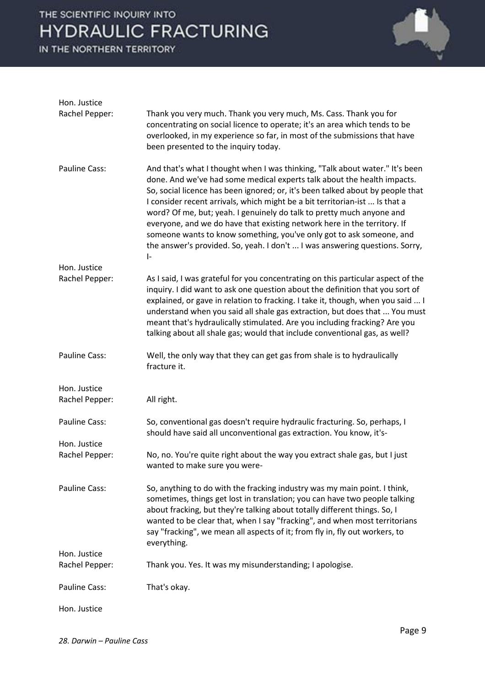### THE SCIENTIFIC INQUIRY INTO **HYDRAULIC FRACTURING**

IN THE NORTHERN TERRITORY



| Hon. Justice                   |                                                                                                                                                                                                                                                                                                                                                                                                                                                                                                                                                                                                                                                   |
|--------------------------------|---------------------------------------------------------------------------------------------------------------------------------------------------------------------------------------------------------------------------------------------------------------------------------------------------------------------------------------------------------------------------------------------------------------------------------------------------------------------------------------------------------------------------------------------------------------------------------------------------------------------------------------------------|
| Rachel Pepper:                 | Thank you very much. Thank you very much, Ms. Cass. Thank you for<br>concentrating on social licence to operate; it's an area which tends to be<br>overlooked, in my experience so far, in most of the submissions that have<br>been presented to the inquiry today.                                                                                                                                                                                                                                                                                                                                                                              |
| Pauline Cass:                  | And that's what I thought when I was thinking, "Talk about water." It's been<br>done. And we've had some medical experts talk about the health impacts.<br>So, social licence has been ignored; or, it's been talked about by people that<br>I consider recent arrivals, which might be a bit territorian-ist  Is that a<br>word? Of me, but; yeah. I genuinely do talk to pretty much anyone and<br>everyone, and we do have that existing network here in the territory. If<br>someone wants to know something, you've only got to ask someone, and<br>the answer's provided. So, yeah. I don't  I was answering questions. Sorry,<br>$\vert$ - |
| Hon. Justice                   |                                                                                                                                                                                                                                                                                                                                                                                                                                                                                                                                                                                                                                                   |
| Rachel Pepper:                 | As I said, I was grateful for you concentrating on this particular aspect of the<br>inquiry. I did want to ask one question about the definition that you sort of<br>explained, or gave in relation to fracking. I take it, though, when you said  I<br>understand when you said all shale gas extraction, but does that  You must<br>meant that's hydraulically stimulated. Are you including fracking? Are you<br>talking about all shale gas; would that include conventional gas, as well?                                                                                                                                                    |
| Pauline Cass:                  | Well, the only way that they can get gas from shale is to hydraulically<br>fracture it.                                                                                                                                                                                                                                                                                                                                                                                                                                                                                                                                                           |
| Hon. Justice<br>Rachel Pepper: | All right.                                                                                                                                                                                                                                                                                                                                                                                                                                                                                                                                                                                                                                        |
| Pauline Cass:                  | So, conventional gas doesn't require hydraulic fracturing. So, perhaps, I<br>should have said all unconventional gas extraction. You know, it's-                                                                                                                                                                                                                                                                                                                                                                                                                                                                                                  |
| Hon. Justice<br>Rachel Pepper: | No, no. You're quite right about the way you extract shale gas, but I just<br>wanted to make sure you were-                                                                                                                                                                                                                                                                                                                                                                                                                                                                                                                                       |
| Pauline Cass:                  | So, anything to do with the fracking industry was my main point. I think,<br>sometimes, things get lost in translation; you can have two people talking<br>about fracking, but they're talking about totally different things. So, I<br>wanted to be clear that, when I say "fracking", and when most territorians<br>say "fracking", we mean all aspects of it; from fly in, fly out workers, to<br>everything.                                                                                                                                                                                                                                  |
| Hon. Justice                   |                                                                                                                                                                                                                                                                                                                                                                                                                                                                                                                                                                                                                                                   |
| Rachel Pepper:                 | Thank you. Yes. It was my misunderstanding; I apologise.                                                                                                                                                                                                                                                                                                                                                                                                                                                                                                                                                                                          |
| Pauline Cass:                  | That's okay.                                                                                                                                                                                                                                                                                                                                                                                                                                                                                                                                                                                                                                      |
| Hon. Justice                   |                                                                                                                                                                                                                                                                                                                                                                                                                                                                                                                                                                                                                                                   |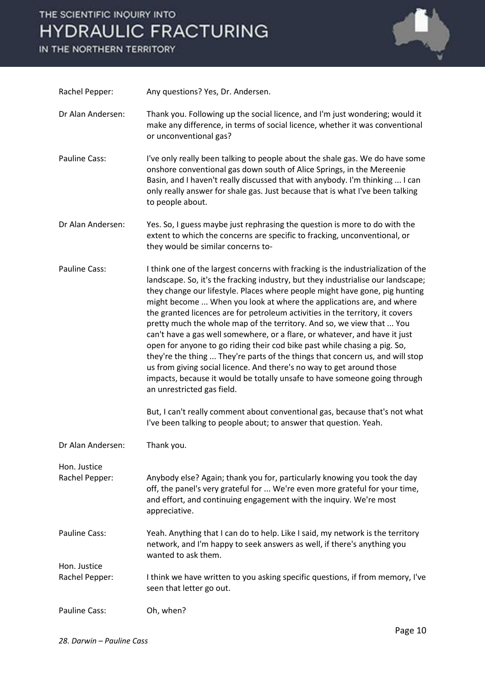## THE SCIENTIFIC INQUIRY INTO **HYDRAULIC FRACTURING**

IN THE NORTHERN TERRITORY



| Rachel Pepper:                 | Any questions? Yes, Dr. Andersen.                                                                                                                                                                                                                                                                                                                                                                                                                                                                                                                                                                                                                                                                                                                                                                                                                                                                                                                                                                                                                                          |
|--------------------------------|----------------------------------------------------------------------------------------------------------------------------------------------------------------------------------------------------------------------------------------------------------------------------------------------------------------------------------------------------------------------------------------------------------------------------------------------------------------------------------------------------------------------------------------------------------------------------------------------------------------------------------------------------------------------------------------------------------------------------------------------------------------------------------------------------------------------------------------------------------------------------------------------------------------------------------------------------------------------------------------------------------------------------------------------------------------------------|
| Dr Alan Andersen:              | Thank you. Following up the social licence, and I'm just wondering; would it<br>make any difference, in terms of social licence, whether it was conventional<br>or unconventional gas?                                                                                                                                                                                                                                                                                                                                                                                                                                                                                                                                                                                                                                                                                                                                                                                                                                                                                     |
| <b>Pauline Cass:</b>           | I've only really been talking to people about the shale gas. We do have some<br>onshore conventional gas down south of Alice Springs, in the Mereenie<br>Basin, and I haven't really discussed that with anybody. I'm thinking  I can<br>only really answer for shale gas. Just because that is what I've been talking<br>to people about.                                                                                                                                                                                                                                                                                                                                                                                                                                                                                                                                                                                                                                                                                                                                 |
| Dr Alan Andersen:              | Yes. So, I guess maybe just rephrasing the question is more to do with the<br>extent to which the concerns are specific to fracking, unconventional, or<br>they would be similar concerns to-                                                                                                                                                                                                                                                                                                                                                                                                                                                                                                                                                                                                                                                                                                                                                                                                                                                                              |
| <b>Pauline Cass:</b>           | I think one of the largest concerns with fracking is the industrialization of the<br>landscape. So, it's the fracking industry, but they industrialise our landscape;<br>they change our lifestyle. Places where people might have gone, pig hunting<br>might become  When you look at where the applications are, and where<br>the granted licences are for petroleum activities in the territory, it covers<br>pretty much the whole map of the territory. And so, we view that  You<br>can't have a gas well somewhere, or a flare, or whatever, and have it just<br>open for anyone to go riding their cod bike past while chasing a pig. So,<br>they're the thing  They're parts of the things that concern us, and will stop<br>us from giving social licence. And there's no way to get around those<br>impacts, because it would be totally unsafe to have someone going through<br>an unrestricted gas field.<br>But, I can't really comment about conventional gas, because that's not what<br>I've been talking to people about; to answer that question. Yeah. |
| Dr Alan Andersen:              | Thank you.                                                                                                                                                                                                                                                                                                                                                                                                                                                                                                                                                                                                                                                                                                                                                                                                                                                                                                                                                                                                                                                                 |
| Hon. Justice                   |                                                                                                                                                                                                                                                                                                                                                                                                                                                                                                                                                                                                                                                                                                                                                                                                                                                                                                                                                                                                                                                                            |
| Rachel Pepper:                 | Anybody else? Again; thank you for, particularly knowing you took the day<br>off, the panel's very grateful for  We're even more grateful for your time,<br>and effort, and continuing engagement with the inquiry. We're most<br>appreciative.                                                                                                                                                                                                                                                                                                                                                                                                                                                                                                                                                                                                                                                                                                                                                                                                                            |
| <b>Pauline Cass:</b>           | Yeah. Anything that I can do to help. Like I said, my network is the territory<br>network, and I'm happy to seek answers as well, if there's anything you<br>wanted to ask them.                                                                                                                                                                                                                                                                                                                                                                                                                                                                                                                                                                                                                                                                                                                                                                                                                                                                                           |
| Hon. Justice<br>Rachel Pepper: | I think we have written to you asking specific questions, if from memory, I've<br>seen that letter go out.                                                                                                                                                                                                                                                                                                                                                                                                                                                                                                                                                                                                                                                                                                                                                                                                                                                                                                                                                                 |
| <b>Pauline Cass:</b>           | Oh, when?                                                                                                                                                                                                                                                                                                                                                                                                                                                                                                                                                                                                                                                                                                                                                                                                                                                                                                                                                                                                                                                                  |